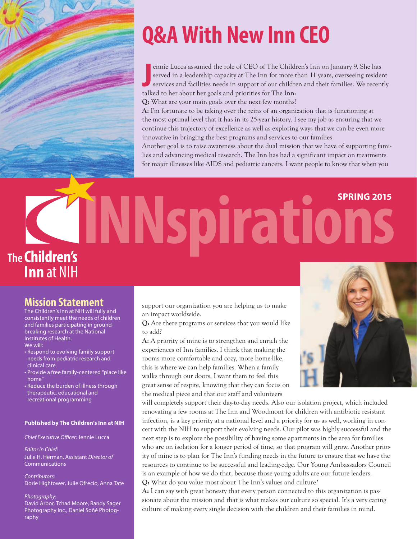

# **Q&A With New Inn CEO**

ennie Lucca assumed the role of CEO of The Childrerved in a leadership capacity at The Inn for more the services and facilities needs in support of our childrer talked to her about her goals and priorities for The Inn: ennie Lucca assumed the role of CEO of The Children's Inn on January 9. She has served in a leadership capacity at The Inn for more than 11 years, overseeing resident services and facilities needs in support of our children and their families. We recently

**Q:** What are your main goals over the next few months?

**A:** I'm fortunate to be taking over the reins of an organization that is functioning at the most optimal level that it has in its 25-year history. I see my job as ensuring that we continue this trajectory of excellence as well as exploring ways that we can be even more innovative in bringing the best programs and services to our families.

Another goal is to raise awareness about the dual mission that we have of supporting families and advancing medical research. The Inn has had a significant impact on treatments for major illnesses like AIDS and pediatric cancers. I want people to know that when you

# **INNspirations** The **Children's Inn** at NIH

### **Mission Statement**

The Children's Inn at NIH will fully and consistently meet the needs of children and families participating in groundbreaking research at the National Institutes of Health. We will:

- Respond to evolving family support needs from pediatric research and clinical care
- Provide a free family-centered "place like home"
- Reduce the burden of illness through therapeutic, educational and recreational programming

### **Published by The Children's Inn at NIH**

*Chief Executive Officer: Jennie Lucca* 

*Editor in Chief:* Julie H. Herman, Assistant *Director of* Communications

*Contributors:* Dorie Hightower, Julie Ofrecio, Anna Tate

#### *Photography:*

David Arbor, Tchad Moore, Randy Sager Photography Inc., Daniel Soñé Photography

support our organization you are helping us to make an impact worldwide.

**Q:** Are there programs or services that you would like to add?

**A:** A priority of mine is to strengthen and enrich the experiences of Inn families. I think that making the rooms more comfortable and cozy, more home-like, this is where we can help families. When a family walks through our doors, I want them to feel this great sense of respite, knowing that they can focus on the medical piece and that our staff and volunteers



will completely support their day-to-day needs. Also our isolation project, which included renovating a few rooms at The Inn and Woodmont for children with antibiotic resistant infection, is a key priority at a national level and a priority for us as well, working in concert with the NIH to support their evolving needs. Our pilot was highly successful and the next step is to explore the possibility of having some apartments in the area for families who are on isolation for a longer period of time, so that program will grow. Another priority of mine is to plan for The Inn's funding needs in the future to ensure that we have the resources to continue to be successful and leading-edge. Our Young Ambassadors Council is an example of how we do that, because those young adults are our future leaders. **Q:** What do you value most about The Inn's values and culture?

**A:** I can say with great honesty that every person connected to this organization is passionate about the mission and that is what makes our culture so special. It's a very caring culture of making every single decision with the children and their families in mind.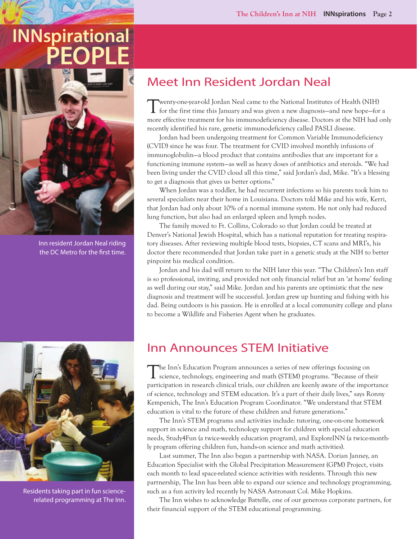# **INNspirational PEOPLE**



Inn resident Jordan Neal riding the DC Metro for the first time.



Residents taking part in fun sciencerelated programming at The Inn.

# Meet Inn Resident Jordan Neal

Twenty-one-year-old Jordan Neal came to the National Institutes of Health (NIH) for the first time this January and was given a new diagnosis—and new hope—for a more effective treatment for his immunodeficiency disease. Doctors at the NIH had only recently identified his rare, genetic immunodeficiency called PASLI disease.

Jordan had been undergoing treatment for Common Variable Immunodeficiency (CVID) since he was four. The treatment for CVID involved monthly infusions of immunoglobulin—a blood product that contains antibodies that are important for a functioning immune system—as well as heavy doses of antibiotics and steroids. "We had been living under the CVID cloud all this time," said Jordan's dad, Mike. "It's a blessing to get a diagnosis that gives us better options."

When Jordan was a toddler, he had recurrent infections so his parents took him to several specialists near their home in Louisiana. Doctors told Mike and his wife, Kerri, that Jordan had only about 10% of a normal immune system. He not only had reduced lung function, but also had an enlarged spleen and lymph nodes.

The family moved to Ft. Collins, Colorado so that Jordan could be treated at Denver's National Jewish Hospital, which has a national reputation for treating respiratory diseases. After reviewing multiple blood tests, biopsies, CT scans and MRI's, his doctor there recommended that Jordan take part in a genetic study at the NIH to better pinpoint his medical condition.

Jordan and his dad will return to the NIH later this year. "The Children's Inn staff is so professional, inviting, and provided not only financial relief but an 'at home' feeling as well during our stay," said Mike. Jordan and his parents are optimistic that the new diagnosis and treatment will be successful. Jordan grew up hunting and fishing with his dad. Being outdoors is his passion. He is enrolled at a local community college and plans to become a Wildlife and Fisheries Agent when he graduates.

### Inn Announces STEM Initiative

The Inn's Education Program announces a series of new offerings focusing on science, technology, engineering and math (STEM) programs. "Because of their participation in research clinical trials, our children are keenly aware of the importance of science, technology and STEM education. It's a part of their daily lives," says Ronny Kempenich, The Inn's Education Program Coordinator. "We understand that STEM education is vital to the future of these children and future generations."

The Inn's STEM programs and activities include: tutoring, one-on-one homework support in science and math, technology support for children with special education needs, Study4Fun (a twice-weekly education program), and ExploreINN (a twice-monthly program offering children fun, hands-on science and math activities).

Last summer, The Inn also began a partnership with NASA. Dorian Janney, an Education Specialist with the Global Precipitation Measurement (GPM) Project, visits each month to lead space-related science activities with residents. Through this new partnership, The Inn has been able to expand our science and technology programming, such as a fun activity led recently by NASA Astronaut Col. Mike Hopkins.

The Inn wishes to acknowledge Battelle, one of our generous corporate partners, for their financial support of the STEM educational programming.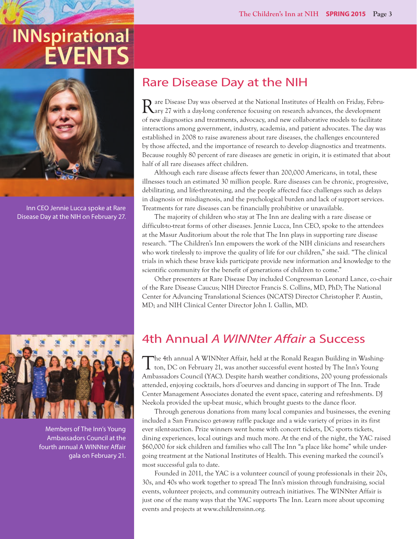# **INNspirational EVENTS**



Inn CEO Jennie Lucca spoke at Rare Disease Day at the NIH on February 27.



Members of The Inn's Young Ambassadors Council at the fourth annual A WINNter Affair gala on February 21.

## Rare Disease Day at the NIH

Rare Disease Day was observed at the National Institutes of Health on Friday, Febru-ary 27 with a day-long conference focusing on research advances, the development of new diagnostics and treatments, advocacy, and new collaborative models to facilitate interactions among government, industry, academia, and patient advocates. The day was established in 2008 to raise awareness about rare diseases, the challenges encountered by those affected, and the importance of research to develop diagnostics and treatments. Because roughly 80 percent of rare diseases are genetic in origin, it is estimated that about half of all rare diseases affect children.

Although each rare disease affects fewer than 200,000 Americans, in total, these illnesses touch an estimated 30 million people. Rare diseases can be chronic, progressive, debilitating, and life-threatening, and the people affected face challenges such as delays in diagnosis or misdiagnosis, and the psychological burden and lack of support services. Treatments for rare diseases can be financially prohibitive or unavailable.

The majority of children who stay at The Inn are dealing with a rare disease or difficult-to-treat forms of other diseases. Jennie Lucca, Inn CEO, spoke to the attendees at the Masur Auditorium about the role that The Inn plays in supporting rare disease research. "The Children's Inn empowers the work of the NIH clinicians and researchers who work tirelessly to improve the quality of life for our children," she said. "The clinical trials in which these brave kids participate provide new information and knowledge to the scientific community for the benefit of generations of children to come."

Other presenters at Rare Disease Day included Congressman Leonard Lance, co-chair of the Rare Disease Caucus; NIH Director Francis S. Collins, MD, PhD; The National Center for Advancing Translational Sciences (NCATS) Director Christopher P. Austin, MD; and NIH Clinical Center Director John I. Gallin, MD.

## 4th Annual *A WINNter Affair* a Success

The 4th annual A WINNter Affair, held at the Ronald Reagan Building in Washing-ton, DC on February 21, was another successful event hosted by The Inn's Young Ambassadors Council (YAC). Despite harsh weather conditions, 200 young professionals attended, enjoying cocktails, hors d'oeurves and dancing in support of The Inn. Trade Center Management Associates donated the event space, catering and refreshments. DJ Neekola provided the up-beat music, which brought guests to the dance floor.

Through generous donations from many local companies and businesses, the evening included a San Francisco get-away raffle package and a wide variety of prizes in its first ever silent-auction. Prize winners went home with concert tickets, DC sports tickets, dining experiences, local outings and much more. At the end of the night, the YAC raised \$60,000 for sick children and families who call The Inn "a place like home" while undergoing treatment at the National Institutes of Health. This evening marked the council's most successful gala to date.

Founded in 2011, the YAC is a volunteer council of young professionals in their 20s, 30s, and 40s who work together to spread The Inn's mission through fundraising, social events, volunteer projects, and community outreach initiatives. The WINNter Affair is just one of the many ways that the YAC supports The Inn. Learn more about upcoming events and projects at www.childrensinn.org.